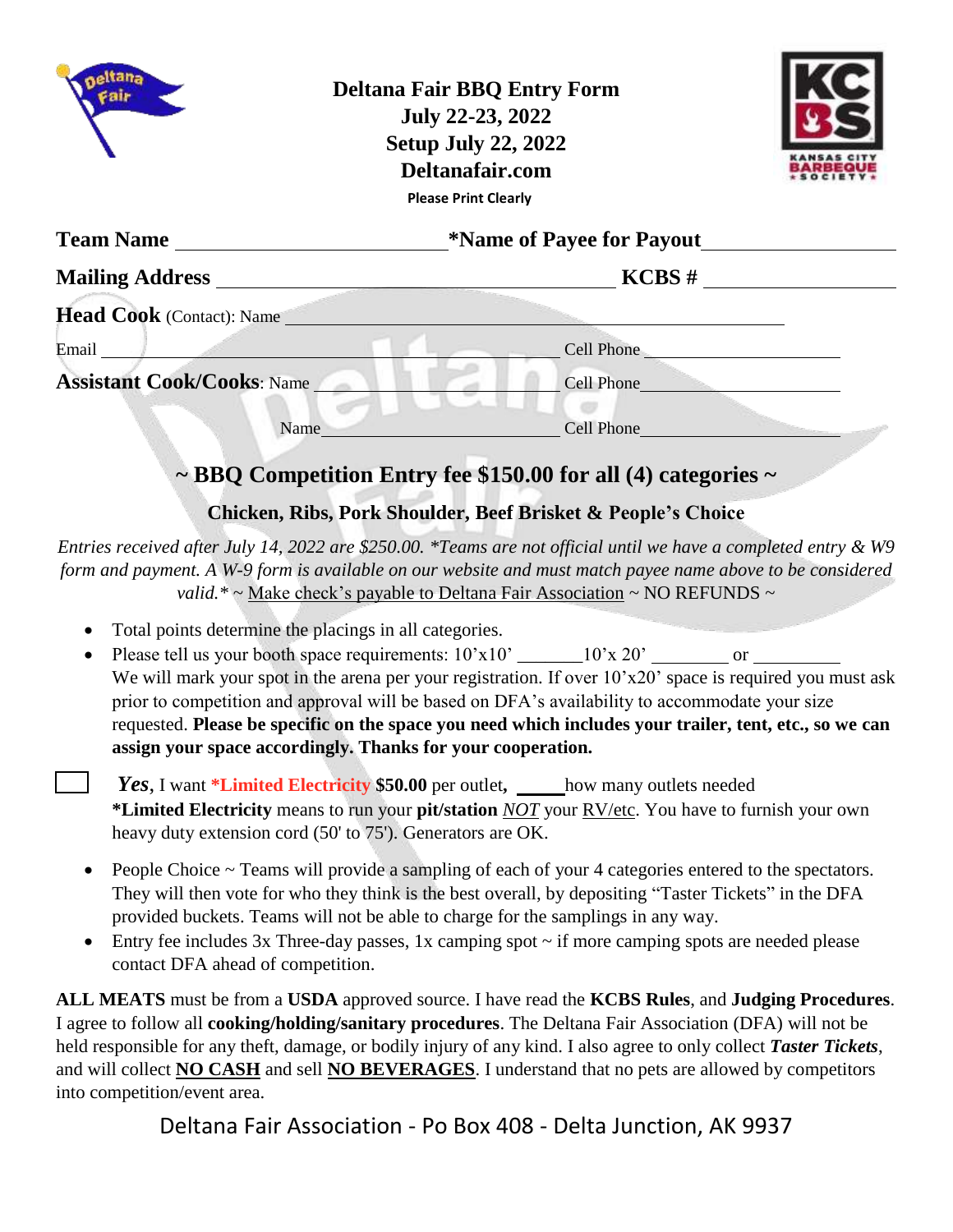|                                                                                                                                                                                                                               | <b>Deltana Fair BBQ Entry Form</b><br>July 22-23, 2022<br><b>Setup July 22, 2022</b><br>Deltanafair.com<br><b>Please Print Clearly</b> |  |  |
|-------------------------------------------------------------------------------------------------------------------------------------------------------------------------------------------------------------------------------|----------------------------------------------------------------------------------------------------------------------------------------|--|--|
|                                                                                                                                                                                                                               |                                                                                                                                        |  |  |
|                                                                                                                                                                                                                               |                                                                                                                                        |  |  |
| <b>Head Cook</b> (Contact): Name                                                                                                                                                                                              |                                                                                                                                        |  |  |
| Email and the contract of the contract of the contract of the contract of the contract of the contract of the contract of the contract of the contract of the contract of the contract of the contract of the contract of the | Cell Phone                                                                                                                             |  |  |
| <b>Assistant Cook/Cooks: Name</b>                                                                                                                                                                                             | Cell Phone                                                                                                                             |  |  |
| Name                                                                                                                                                                                                                          | Cell Phone                                                                                                                             |  |  |
|                                                                                                                                                                                                                               | $\sim$ BBQ Competition Entry fee \$150.00 for all (4) categories $\sim$                                                                |  |  |

## **Chicken, Ribs, Pork Shoulder, Beef Brisket & People's Choice**

*Entries received after July 14, 2022 are \$250.00. \*Teams are not official until we have a completed entry & W9 form and payment. A W-9 form is available on our website and must match payee name above to be considered valid.\* ~* Make check's payable to Deltana Fair Association *~* NO REFUNDS ~

- Total points determine the placings in all categories.
- Please tell us your booth space requirements:  $10'x10'$  \_\_\_\_\_\_\_\_10'x 20' or We will mark your spot in the arena per your registration. If over  $10'x20'$  space is required you must ask prior to competition and approval will be based on DFA's availability to accommodate your size requested. **Please be specific on the space you need which includes your trailer, tent, etc., so we can assign your space accordingly. Thanks for your cooperation.**
	- *Yes*, I want \*Limited Electricity \$50.00 per outlet, how many outlets needed **\*Limited Electricity** means to run your **pit/station** *NOT* your RV/etc. You have to furnish your own heavy duty extension cord (50' to 75'). Generators are OK.
- People Choice ~ Teams will provide a sampling of each of your 4 categories entered to the spectators. They will then vote for who they think is the best overall, by depositing "Taster Tickets" in the DFA provided buckets. Teams will not be able to charge for the samplings in any way.
- $\bullet$  Entry fee includes 3x Three-day passes, 1x camping spot  $\sim$  if more camping spots are needed please contact DFA ahead of competition.

**ALL MEATS** must be from a **USDA** approved source. I have read the **KCBS Rules**, and **Judging Procedures**. I agree to follow all **cooking/holding/sanitary procedures**. The Deltana Fair Association (DFA) will not be held responsible for any theft, damage, or bodily injury of any kind. I also agree to only collect *Taster Tickets*, and will collect **NO CASH** and sell **NO BEVERAGES**. I understand that no pets are allowed by competitors into competition/event area.

Deltana Fair Association - Po Box 408 - Delta Junction, AK 9937